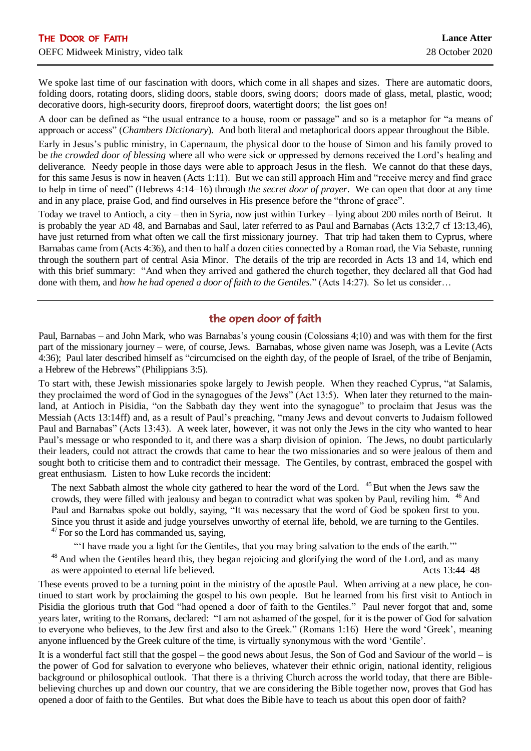We spoke last time of our fascination with doors, which come in all shapes and sizes. There are automatic doors, folding doors, rotating doors, sliding doors, stable doors, swing doors; doors made of glass, metal, plastic, wood; decorative doors, high-security doors, fireproof doors, watertight doors; the list goes on!

A door can be defined as "the usual entrance to a house, room or passage" and so is a metaphor for "a means of approach or access" (*Chambers Dictionary*). And both literal and metaphorical doors appear throughout the Bible.

Early in Jesus's public ministry, in Capernaum, the physical door to the house of Simon and his family proved to be *the crowded door of blessing* where all who were sick or oppressed by demons received the Lord's healing and deliverance. Needy people in those days were able to approach Jesus in the flesh. We cannot do that these days, for this same Jesus is now in heaven (Acts 1:11). But we can still approach Him and "receive mercy and find grace to help in time of need" (Hebrews 4:14–16) through *the secret door of prayer*. We can open that door at any time and in any place, praise God, and find ourselves in His presence before the "throne of grace".

Today we travel to Antioch, a city – then in Syria, now just within Turkey – lying about 200 miles north of Beirut. It is probably the year AD 48, and Barnabas and Saul, later referred to as Paul and Barnabas (Acts 13:2,7 cf 13:13,46), have just returned from what often we call the first missionary journey. That trip had taken them to Cyprus, where Barnabas came from (Acts 4:36), and then to half a dozen cities connected by a Roman road, the Via Sebaste, running through the southern part of central Asia Minor. The details of the trip are recorded in Acts 13 and 14, which end with this brief summary: "And when they arrived and gathered the church together, they declared all that God had done with them, and *how he had opened a door of faith to the Gentiles*." (Acts 14:27). So let us consider…

# the open door of faith

Paul, Barnabas – and John Mark, who was Barnabas's young cousin (Colossians 4;10) and was with them for the first part of the missionary journey – were, of course, Jews. Barnabas, whose given name was Joseph, was a Levite (Acts 4:36); Paul later described himself as "circumcised on the eighth day, of the people of Israel, of the tribe of Benjamin, a Hebrew of the Hebrews" (Philippians 3:5).

To start with, these Jewish missionaries spoke largely to Jewish people. When they reached Cyprus, "at Salamis, they proclaimed the word of God in the synagogues of the Jews" (Act 13:5). When later they returned to the mainland, at Antioch in Pisidia, "on the Sabbath day they went into the synagogue" to proclaim that Jesus was the Messiah (Acts 13:14ff) and, as a result of Paul's preaching, "many Jews and devout converts to Judaism followed Paul and Barnabas" (Acts 13:43). A week later, however, it was not only the Jews in the city who wanted to hear Paul's message or who responded to it, and there was a sharp division of opinion. The Jews, no doubt particularly their leaders, could not attract the crowds that came to hear the two missionaries and so were jealous of them and sought both to criticise them and to contradict their message. The Gentiles, by contrast, embraced the gospel with great enthusiasm. Listen to how Luke records the incident:

The next Sabbath almost the whole city gathered to hear the word of the Lord. <sup>45</sup>But when the Jews saw the crowds, they were filled with jealousy and began to contradict what was spoken by Paul, reviling him. <sup>46</sup> And Paul and Barnabas spoke out boldly, saying, "It was necessary that the word of God be spoken first to you. Since you thrust it aside and judge yourselves unworthy of eternal life, behold, we are turning to the Gentiles.  $47$  For so the Lord has commanded us, saying,

"'I have made you a light for the Gentiles, that you may bring salvation to the ends of the earth.'"

<sup>48</sup> And when the Gentiles heard this, they began rejoicing and glorifying the word of the Lord, and as many as were appointed to eternal life believed. Acts 13:44–48

These events proved to be a turning point in the ministry of the apostle Paul. When arriving at a new place, he continued to start work by proclaiming the gospel to his own people. But he learned from his first visit to Antioch in Pisidia the glorious truth that God "had opened a door of faith to the Gentiles." Paul never forgot that and, some years later, writing to the Romans, declared: "I am not ashamed of the gospel, for it is the power of God for salvation to everyone who believes, to the Jew first and also to the Greek." (Romans 1:16) Here the word 'Greek', meaning anyone influenced by the Greek culture of the time, is virtually synonymous with the word 'Gentile'.

It is a wonderful fact still that the gospel – the good news about Jesus, the Son of God and Saviour of the world – is the power of God for salvation to everyone who believes, whatever their ethnic origin, national identity, religious background or philosophical outlook. That there is a thriving Church across the world today, that there are Biblebelieving churches up and down our country, that we are considering the Bible together now, proves that God has opened a door of faith to the Gentiles. But what does the Bible have to teach us about this open door of faith?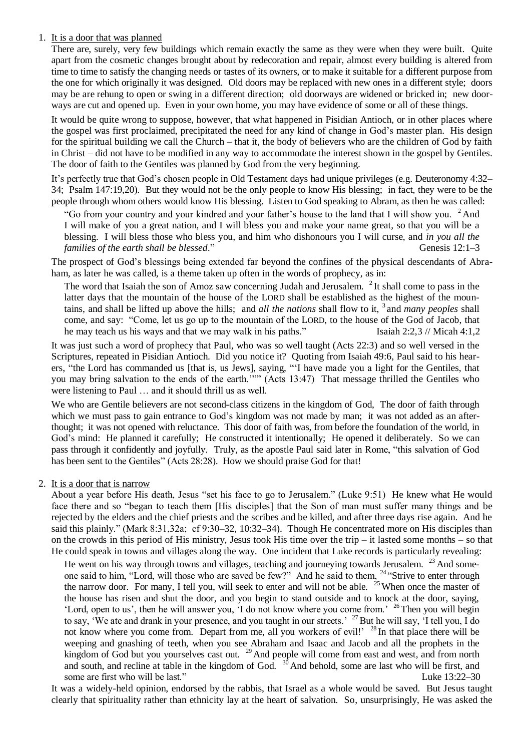### 1. It is a door that was planned

There are, surely, very few buildings which remain exactly the same as they were when they were built. Quite apart from the cosmetic changes brought about by redecoration and repair, almost every building is altered from time to time to satisfy the changing needs or tastes of its owners, or to make it suitable for a different purpose from the one for which originally it was designed. Old doors may be replaced with new ones in a different style; doors may be are rehung to open or swing in a different direction; old doorways are widened or bricked in; new doorways are cut and opened up. Even in your own home, you may have evidence of some or all of these things.

It would be quite wrong to suppose, however, that what happened in Pisidian Antioch, or in other places where the gospel was first proclaimed, precipitated the need for any kind of change in God's master plan. His design for the spiritual building we call the Church – that it, the body of believers who are the children of God by faith in Christ – did not have to be modified in any way to accommodate the interest shown in the gospel by Gentiles. The door of faith to the Gentiles was planned by God from the very beginning.

It's perfectly true that God's chosen people in Old Testament days had unique privileges (e.g. Deuteronomy 4:32– 34; Psalm 147:19,20). But they would not be the only people to know His blessing; in fact, they were to be the people through whom others would know His blessing. Listen to God speaking to Abram, as then he was called:

"Go from your country and your kindred and your father's house to the land that I will show you. <sup>2</sup> And I will make of you a great nation, and I will bless you and make your name great, so that you will be a blessing. I will bless those who bless you, and him who dishonours you I will curse, and *in you all the families of the earth shall be blessed.*" Genesis 12:1–3

The prospect of God's blessings being extended far beyond the confines of the physical descendants of Abraham, as later he was called, is a theme taken up often in the words of prophecy, as in:

The word that Isaiah the son of Amoz saw concerning Judah and Jerusalem. <sup>2</sup>It shall come to pass in the latter days that the mountain of the house of the LORD shall be established as the highest of the mountains, and shall be lifted up above the hills; and *all the nations* shall flow to it, <sup>3</sup> and *many peoples* shall come, and say: "Come, let us go up to the mountain of the LORD, to the house of the God of Jacob, that he may teach us his ways and that we may walk in his paths." Isaiah 2:2,3 // Micah 4:1,2

It was just such a word of prophecy that Paul, who was so well taught (Acts 22:3) and so well versed in the Scriptures, repeated in Pisidian Antioch. Did you notice it? Quoting from Isaiah 49:6, Paul said to his hearers, "the Lord has commanded us [that is, us Jews], saying, "'I have made you a light for the Gentiles, that you may bring salvation to the ends of the earth.'"" (Acts 13:47) That message thrilled the Gentiles who were listening to Paul … and it should thrill us as well.

We who are Gentile believers are not second-class citizens in the kingdom of God, The door of faith through which we must pass to gain entrance to God's kingdom was not made by man; it was not added as an afterthought; it was not opened with reluctance. This door of faith was, from before the foundation of the world, in God's mind: He planned it carefully; He constructed it intentionally; He opened it deliberately. So we can pass through it confidently and joyfully. Truly, as the apostle Paul said later in Rome, "this salvation of God has been sent to the Gentiles" (Acts 28:28). How we should praise God for that!

## 2. It is a door that is narrow

About a year before His death, Jesus "set his face to go to Jerusalem." (Luke 9:51) He knew what He would face there and so "began to teach them [His disciples] that the Son of man must suffer many things and be rejected by the elders and the chief priests and the scribes and be killed, and after three days rise again. And he said this plainly." (Mark 8:31,32a; cf 9:30–32, 10:32–34). Though He concentrated more on His disciples than on the crowds in this period of His ministry, Jesus took His time over the trip – it lasted some months – so that He could speak in towns and villages along the way. One incident that Luke records is particularly revealing:

He went on his way through towns and villages, teaching and journeying towards Jerusalem. <sup>23</sup> And someone said to him, "Lord, will those who are saved be few?" And he said to them, <sup>24</sup> "Strive to enter through the narrow door. For many, I tell you, will seek to enter and will not be able. <sup>25</sup> When once the master of the house has risen and shut the door, and you begin to stand outside and to knock at the door, saying, 'Lord, open to us', then he will answer you, 'I do not know where you come from.' <sup>26</sup>Then you will begin to say, 'We ate and drank in your presence, and you taught in our streets.' <sup>27</sup>But he will say, 'I tell you, I do not know where you come from. Depart from me, all you workers of evil!' <sup>28</sup> In that place there will be weeping and gnashing of teeth, when you see Abraham and Isaac and Jacob and all the prophets in the kingdom of God but you yourselves cast out.  $29$  And people will come from east and west, and from north and south, and recline at table in the kingdom of God.  $30^{\circ}$  And behold, some are last who will be first, and some are first who will be last." Luke 13:22–30

It was a widely-held opinion, endorsed by the rabbis, that Israel as a whole would be saved. But Jesus taught clearly that spirituality rather than ethnicity lay at the heart of salvation. So, unsurprisingly, He was asked the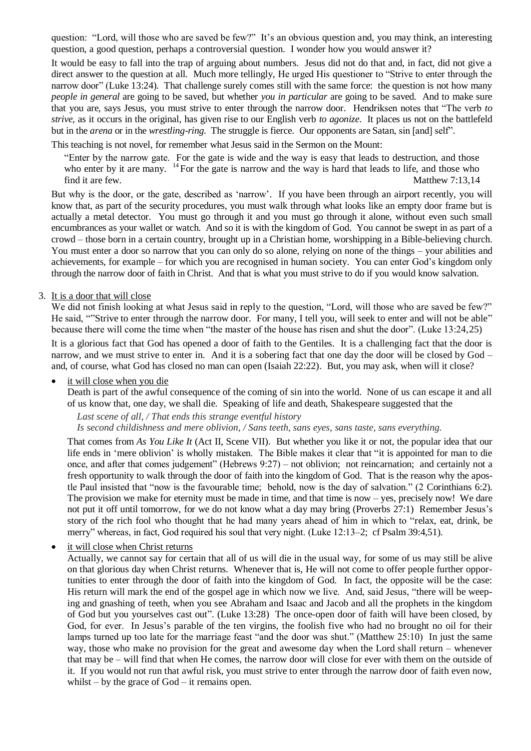question: "Lord, will those who are saved be few?" It's an obvious question and, you may think, an interesting question, a good question, perhaps a controversial question. I wonder how you would answer it?

It would be easy to fall into the trap of arguing about numbers. Jesus did not do that and, in fact, did not give a direct answer to the question at all. Much more tellingly, He urged His questioner to "Strive to enter through the narrow door" (Luke 13:24). That challenge surely comes still with the same force: the question is not how many *people in general* are going to be saved, but whether *you in particular* are going to be saved. And to make sure that you are, says Jesus, you must strive to enter through the narrow door. Hendriksen notes that "The verb *to strive*, as it occurs in the original, has given rise to our English verb *to agonize*. It places us not on the battlefeld but in the *arena* or in the *wrestling-ring*. The struggle is fierce. Our opponents are Satan, sin [and] self".

This teaching is not novel, for remember what Jesus said in the Sermon on the Mount:

"Enter by the narrow gate. For the gate is wide and the way is easy that leads to destruction, and those who enter by it are many. <sup>14</sup> For the gate is narrow and the way is hard that leads to life, and those who find it are few. Matthew 7:13,14

But why is the door, or the gate, described as 'narrow'. If you have been through an airport recently, you will know that, as part of the security procedures, you must walk through what looks like an empty door frame but is actually a metal detector. You must go through it and you must go through it alone, without even such small encumbrances as your wallet or watch. And so it is with the kingdom of God. You cannot be swept in as part of a crowd – those born in a certain country, brought up in a Christian home, worshipping in a Bible-believing church. You must enter a door so narrow that you can only do so alone, relying on none of the things – your abilities and achievements, for example – for which you are recognised in human society. You can enter God's kingdom only through the narrow door of faith in Christ. And that is what you must strive to do if you would know salvation.

#### 3. It is a door that will close

We did not finish looking at what Jesus said in reply to the question, "Lord, will those who are saved be few?" He said, ""Strive to enter through the narrow door. For many, I tell you, will seek to enter and will not be able" because there will come the time when "the master of the house has risen and shut the door". (Luke 13:24,25)

It is a glorious fact that God has opened a door of faith to the Gentiles. It is a challenging fact that the door is narrow, and we must strive to enter in. And it is a sobering fact that one day the door will be closed by God – and, of course, what God has closed no man can open (Isaiah 22:22). But, you may ask, when will it close?

#### it will close when you die

Death is part of the awful consequence of the coming of sin into the world. None of us can escape it and all of us know that, one day, we shall die. Speaking of life and death, Shakespeare suggested that the

*Last scene of all, / That ends this strange eventful history Is second childishness and mere oblivion, / Sans teeth, sans eyes, sans taste, sans everything.*

That comes from *As You Like It* (Act II, Scene VII). But whether you like it or not, the popular idea that our life ends in 'mere oblivion' is wholly mistaken. The Bible makes it clear that "it is appointed for man to die once, and after that comes judgement" (Hebrews 9:27) – not oblivion; not reincarnation; and certainly not a fresh opportunity to walk through the door of faith into the kingdom of God. That is the reason why the apostle Paul insisted that "now is the favourable time; behold, now is the day of salvation." (2 Corinthians 6:2). The provision we make for eternity must be made in time, and that time is now – yes, precisely now! We dare not put it off until tomorrow, for we do not know what a day may bring (Proverbs 27:1) Remember Jesus's story of the rich fool who thought that he had many years ahead of him in which to "relax, eat, drink, be merry" whereas, in fact, God required his soul that very night. (Luke 12:13–2; cf Psalm 39:4,51).

it will close when Christ returns

Actually, we cannot say for certain that all of us will die in the usual way, for some of us may still be alive on that glorious day when Christ returns. Whenever that is, He will not come to offer people further opportunities to enter through the door of faith into the kingdom of God. In fact, the opposite will be the case: His return will mark the end of the gospel age in which now we live. And, said Jesus, "there will be weeping and gnashing of teeth, when you see Abraham and Isaac and Jacob and all the prophets in the kingdom of God but you yourselves cast out". (Luke 13:28) The once-open door of faith will have been closed, by God, for ever. In Jesus's parable of the ten virgins, the foolish five who had no brought no oil for their lamps turned up too late for the marriage feast "and the door was shut." (Matthew 25:10) In just the same way, those who make no provision for the great and awesome day when the Lord shall return – whenever that may be – will find that when He comes, the narrow door will close for ever with them on the outside of it. If you would not run that awful risk, you must strive to enter through the narrow door of faith even now, whilst – by the grace of God – it remains open.